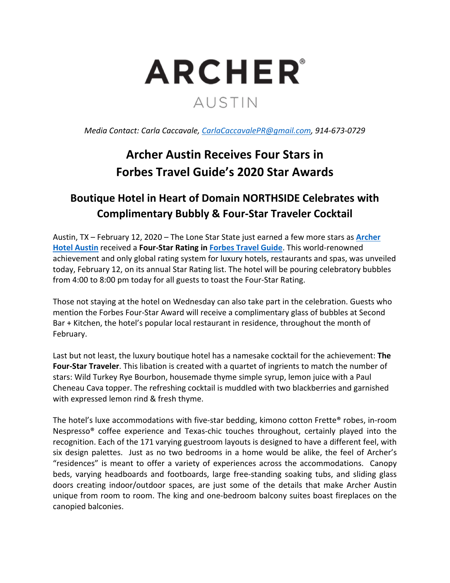

*Media Contact: Carla Caccavale, CarlaCaccavalePR@gmail.com, 914‐673‐0729*

## **Archer Austin Receives Four Stars in Forbes Travel Guide's 2020 Star Awards**

## **Boutique Hotel in Heart of Domain NORTHSIDE Celebrates with Complimentary Bubbly & Four‐Star Traveler Cocktail**

Austin, TX – February 12, 2020 – The Lone Star State just earned a few more stars as **Archer Hotel Austin** received a **Four‐Star Rating in Forbes Travel Guide**. This world‐renowned achievement and only global rating system for luxury hotels, restaurants and spas, was unveiled today, February 12, on its annual Star Rating list. The hotel will be pouring celebratory bubbles from 4:00 to 8:00 pm today for all guests to toast the Four‐Star Rating.

Those not staying at the hotel on Wednesday can also take part in the celebration. Guests who mention the Forbes Four‐Star Award will receive a complimentary glass of bubbles at Second Bar + Kitchen, the hotel's popular local restaurant in residence, throughout the month of February.

Last but not least, the luxury boutique hotel has a namesake cocktail for the achievement: **The Four‐Star Traveler**. This libation is created with a quartet of ingrients to match the number of stars: Wild Turkey Rye Bourbon, housemade thyme simple syrup, lemon juice with a Paul Cheneau Cava topper. The refreshing cocktail is muddled with two blackberries and garnished with expressed lemon rind & fresh thyme.

The hotel's luxe accommodations with five-star bedding, kimono cotton Frette<sup>®</sup> robes, in-room Nespresso<sup>®</sup> coffee experience and Texas-chic touches throughout, certainly played into the recognition. Each of the 171 varying guestroom layouts is designed to have a different feel, with six design palettes. Just as no two bedrooms in a home would be alike, the feel of Archer's "residences" is meant to offer a variety of experiences across the accommodations. Canopy beds, varying headboards and footboards, large free‐standing soaking tubs, and sliding glass doors creating indoor/outdoor spaces, are just some of the details that make Archer Austin unique from room to room. The king and one‐bedroom balcony suites boast fireplaces on the canopied balconies.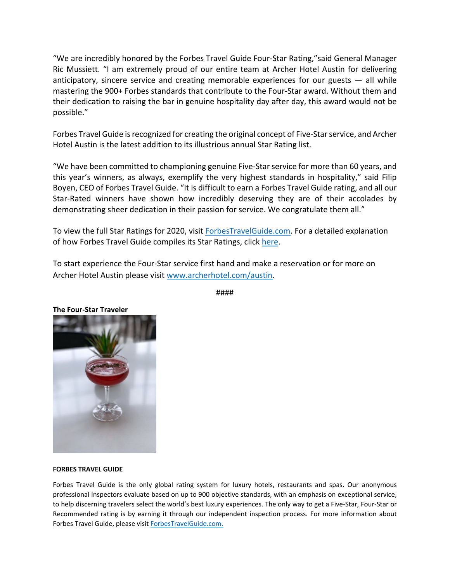"We are incredibly honored by the Forbes Travel Guide Four‐Star Rating,"said General Manager Ric Mussiett. "I am extremely proud of our entire team at Archer Hotel Austin for delivering anticipatory, sincere service and creating memorable experiences for our guests  $-$  all while mastering the 900+ Forbes standards that contribute to the Four‐Star award. Without them and their dedication to raising the bar in genuine hospitality day after day, this award would not be possible."

Forbes Travel Guide is recognized for creating the original concept of Five-Star service, and Archer Hotel Austin is the latest addition to its illustrious annual Star Rating list.

"We have been committed to championing genuine Five‐Star service for more than 60 years, and this year's winners, as always, exemplify the very highest standards in hospitality," said Filip Boyen, CEO of Forbes Travel Guide. "It is difficult to earn a Forbes Travel Guide rating, and all our Star-Rated winners have shown how incredibly deserving they are of their accolades by demonstrating sheer dedication in their passion for service. We congratulate them all."

To view the full Star Ratings for 2020, visit ForbesTravelGuide.com. For a detailed explanation of how Forbes Travel Guide compiles its Star Ratings, click here.

To start experience the Four‐Star service first hand and make a reservation or for more on Archer Hotel Austin please visit www.archerhotel.com/austin.



####

## **FORBES TRAVEL GUIDE**

Forbes Travel Guide is the only global rating system for luxury hotels, restaurants and spas. Our anonymous professional inspectors evaluate based on up to 900 objective standards, with an emphasis on exceptional service, to help discerning travelers select the world's best luxury experiences. The only way to get a Five‐Star, Four‐Star or Recommended rating is by earning it through our independent inspection process. For more information about Forbes Travel Guide, please visit ForbesTravelGuide.com.